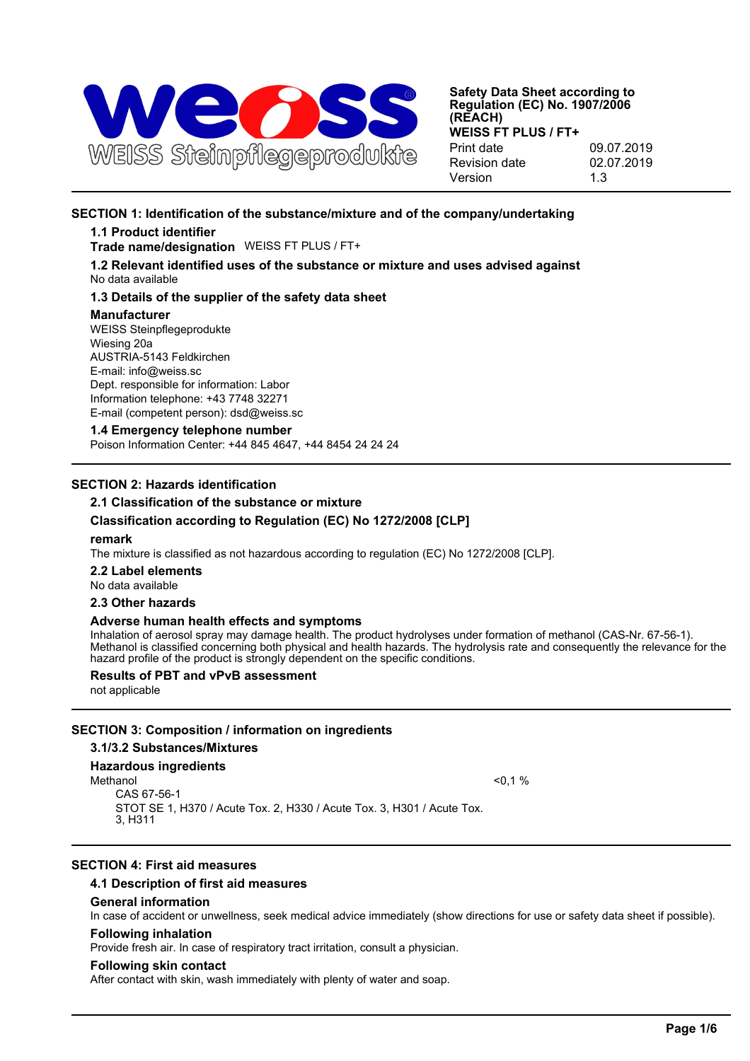

# **SECTION 1: Identification of the substance/mixture and of the company/undertaking**

## **1.1 Product identifier**

**Trade name/designation** WEISS FT PLUS / FT+

**1.2 Relevant identified uses of the substance or mixture and uses advised against** No data available

## **1.3 Details of the supplier of the safety data sheet**

#### **Manufacturer**

WEISS Steinpflegeprodukte Wiesing 20a AUSTRIA-5143 Feldkirchen E-mail: info@weiss.sc Dept. responsible for information: Labor Information telephone: +43 7748 32271 E-mail (competent person): dsd@weiss.sc

### **1.4 Emergency telephone number**

Poison Information Center: +44 845 4647, +44 8454 24 24 24

## **SECTION 2: Hazards identification**

## **2.1 Classification of the substance or mixture**

## **Classification according to Regulation (EC) No 1272/2008 [CLP]**

#### **remark**

The mixture is classified as not hazardous according to regulation (EC) No 1272/2008 [CLP].

**2.2 Label elements** No data available

# **2.3 Other hazards**

## **Adverse human health effects and symptoms**

Inhalation of aerosol spray may damage health. The product hydrolyses under formation of methanol (CAS-Nr. 67-56-1). Methanol is classified concerning both physical and health hazards. The hydrolysis rate and consequently the relevance for the hazard profile of the product is strongly dependent on the specific conditions.

## **Results of PBT and vPvB assessment**

not applicable

## **SECTION 3: Composition / information on ingredients**

**3.1/3.2 Substances/Mixtures**

## **Hazardous ingredients**

Methanol  $<$  0,1  $\%$ 

CAS 67-56-1 STOT SE 1, H370 / Acute Tox. 2, H330 / Acute Tox. 3, H301 / Acute Tox. 3, H311

## **SECTION 4: First aid measures**

## **4.1 Description of first aid measures**

## **General information**

In case of accident or unwellness, seek medical advice immediately (show directions for use or safety data sheet if possible).

#### **Following inhalation**

Provide fresh air. In case of respiratory tract irritation, consult a physician.

#### **Following skin contact**

After contact with skin, wash immediately with plenty of water and soap.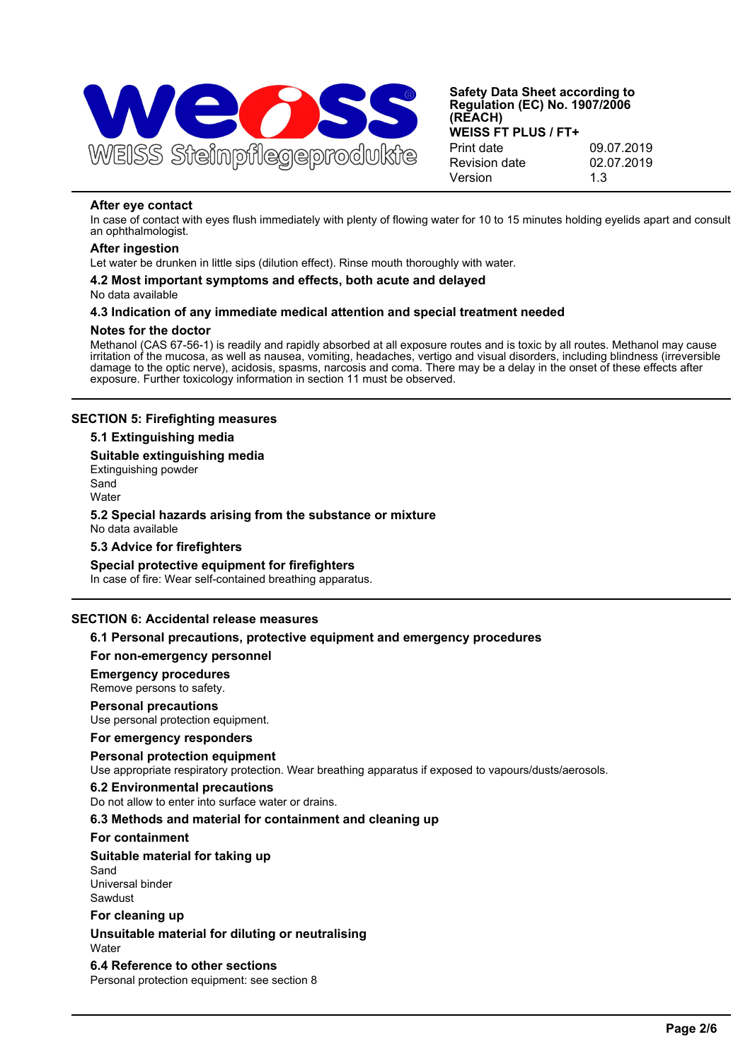

## **After eye contact**

In case of contact with eyes flush immediately with plenty of flowing water for 10 to 15 minutes holding eyelids apart and consult an ophthalmologist.

### **After ingestion**

Let water be drunken in little sips (dilution effect). Rinse mouth thoroughly with water.

# **4.2 Most important symptoms and effects, both acute and delayed**

No data available

## **4.3 Indication of any immediate medical attention and special treatment needed**

### **Notes for the doctor**

Methanol (CAS 67-56-1) is readily and rapidly absorbed at all exposure routes and is toxic by all routes. Methanol may cause irritation of the mucosa, as well as nausea, vomiting, headaches, vertigo and visual disorders, including blindness (irreversible damage to the optic nerve), acidosis, spasms, narcosis and coma. There may be a delay in the onset of these effects after exposure. Further toxicology information in section 11 must be observed.

## **SECTION 5: Firefighting measures**

## **5.1 Extinguishing media**

### **Suitable extinguishing media**

Extinguishing powder Sand

**Water** 

#### **5.2 Special hazards arising from the substance or mixture** No data available

## **5.3 Advice for firefighters**

## **Special protective equipment for firefighters**

In case of fire: Wear self-contained breathing apparatus.

## **SECTION 6: Accidental release measures**

## **6.1 Personal precautions, protective equipment and emergency procedures**

## **For non-emergency personnel**

## **Emergency procedures**

Remove persons to safety.

## **Personal precautions**

Use personal protection equipment.

## **For emergency responders**

**Personal protection equipment** Use appropriate respiratory protection. Wear breathing apparatus if exposed to vapours/dusts/aerosols.

## **6.2 Environmental precautions**

Do not allow to enter into surface water or drains.

## **6.3 Methods and material for containment and cleaning up**

#### **For containment**

## **Suitable material for taking up**

Sand Universal binder Sawdust

## **For cleaning up**

**Unsuitable material for diluting or neutralising** Water

## **6.4 Reference to other sections**

Personal protection equipment: see section 8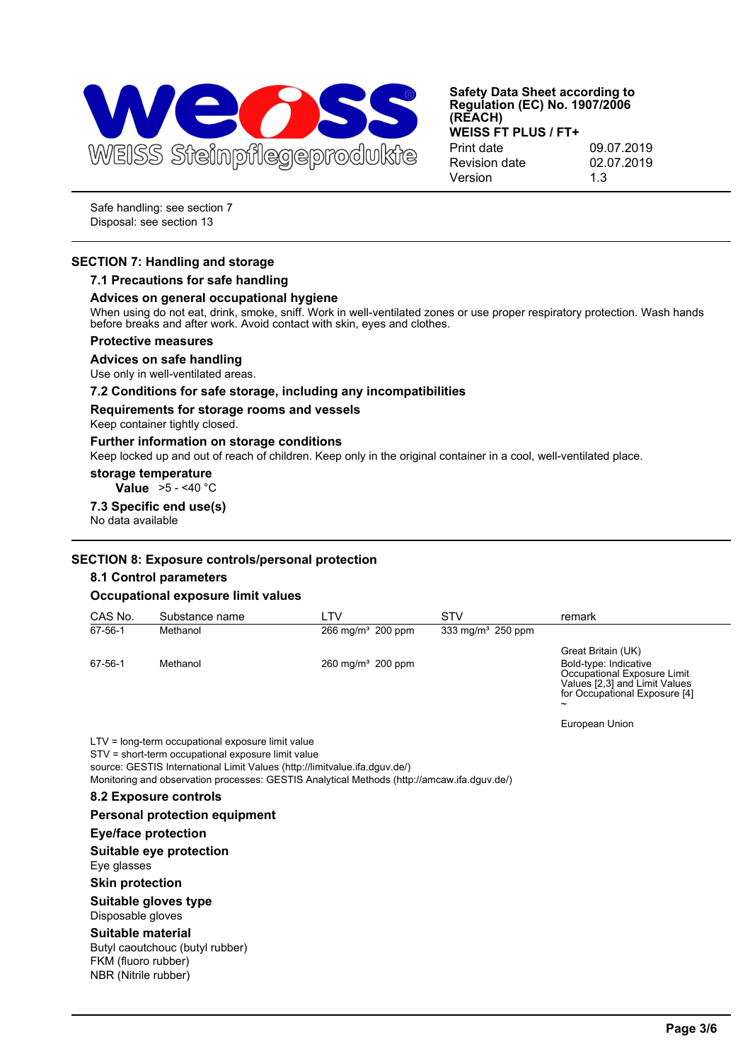

Safe handling: see section 7 Disposal: see section 13

## **SECTION 7: Handling and storage**

## **7.1 Precautions for safe handling**

### **Advices on general occupational hygiene**

When using do not eat, drink, smoke, sniff. Work in well-ventilated zones or use proper respiratory protection. Wash hands before breaks and after work. Avoid contact with skin, eyes and clothes.

#### **Protective measures**

#### **Advices on safe handling**

Use only in well-ventilated areas.

### **7.2 Conditions for safe storage, including any incompatibilities**

#### **Requirements for storage rooms and vessels**

Keep container tightly closed.

#### **Further information on storage conditions**

Keep locked up and out of reach of children. Keep only in the original container in a cool, well-ventilated place.

#### **storage temperature**

**Value** >5 - <40 °C

#### **7.3 Specific end use(s)** No data available

## **SECTION 8: Exposure controls/personal protection**

#### **8.1 Control parameters**

## **Occupational exposure limit values**

| CAS No. | Substance name | . TV                            | STV                  | remark                                                                                                      |
|---------|----------------|---------------------------------|----------------------|-------------------------------------------------------------------------------------------------------------|
| 67-56-1 | Methanol       | $266 \,\mathrm{mq/m^3}$ 200 ppm | 333 mg/m $3$ 250 ppm |                                                                                                             |
| 67-56-1 | Methanol       | $260 \text{ mg/m}^3$ 200 ppm    |                      | Great Britain (UK)<br>Bold-type: Indicative<br>Occupational Exposure Limit<br>Values [2,3] and Limit Values |

European Union

~

for Occupational Exposure [4]

LTV = long-term occupational exposure limit value STV = short-term occupational exposure limit value source: GESTIS International Limit Values (http://limitvalue.ifa.dguv.de/) Monitoring and observation processes: GESTIS Analytical Methods (http://amcaw.ifa.dguv.de/)

## **8.2 Exposure controls**

## **Personal protection equipment**

### **Eye/face protection**

### **Suitable eye protection** Eye glasses

## **Skin protection**

#### **Suitable gloves type** Disposable gloves

#### **Suitable material**

Butyl caoutchouc (butyl rubber) FKM (fluoro rubber) NBR (Nitrile rubber)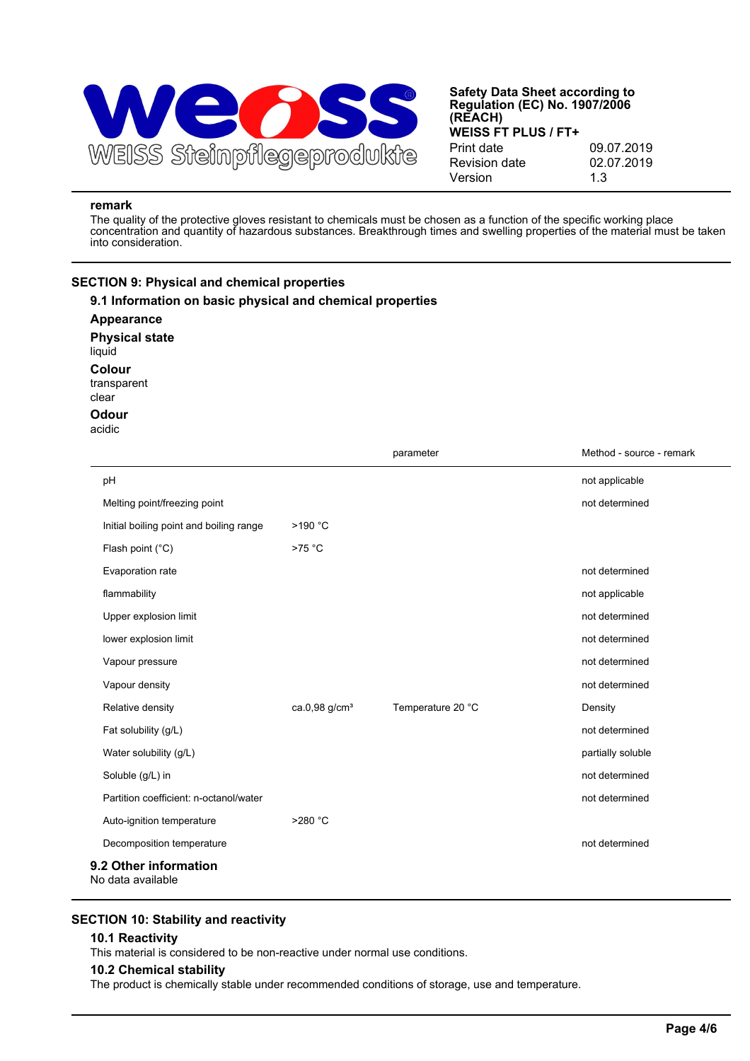

### **remark**

The quality of the protective gloves resistant to chemicals must be chosen as a function of the specific working place concentration and quantity of hazardous substances. Breakthrough times and swelling properties of the material must be taken into consideration.

## **SECTION 9: Physical and chemical properties**

| 9.1 Information on basic physical and chemical properties<br>Appearance<br><b>Physical state</b><br>liquid<br>Colour<br>transparent |                           |                   |                          |
|-------------------------------------------------------------------------------------------------------------------------------------|---------------------------|-------------------|--------------------------|
| clear<br><b>Odour</b>                                                                                                               |                           |                   |                          |
| acidic                                                                                                                              |                           |                   |                          |
|                                                                                                                                     |                           | parameter         | Method - source - remark |
| pH                                                                                                                                  |                           |                   | not applicable           |
| Melting point/freezing point                                                                                                        |                           |                   | not determined           |
| Initial boiling point and boiling range                                                                                             | >190 °C                   |                   |                          |
| Flash point (°C)                                                                                                                    | $>75$ °C                  |                   |                          |
| Evaporation rate                                                                                                                    |                           |                   | not determined           |
| flammability                                                                                                                        |                           |                   | not applicable           |
| Upper explosion limit                                                                                                               |                           |                   | not determined           |
| lower explosion limit                                                                                                               |                           |                   | not determined           |
| Vapour pressure                                                                                                                     |                           |                   | not determined           |
| Vapour density                                                                                                                      |                           |                   | not determined           |
| Relative density                                                                                                                    | ca.0,98 g/cm <sup>3</sup> | Temperature 20 °C | Density                  |
| Fat solubility (g/L)                                                                                                                |                           |                   | not determined           |
| Water solubility (g/L)                                                                                                              |                           |                   | partially soluble        |
| Soluble (g/L) in                                                                                                                    |                           |                   | not determined           |
| Partition coefficient: n-octanol/water                                                                                              |                           |                   | not determined           |
| Auto-ignition temperature                                                                                                           | >280 °C                   |                   |                          |
| Decomposition temperature                                                                                                           |                           |                   | not determined           |
| 9.2 Other information<br>No data available                                                                                          |                           |                   |                          |

## **SECTION 10: Stability and reactivity**

#### **10.1 Reactivity**

This material is considered to be non-reactive under normal use conditions.

#### **10.2 Chemical stability**

The product is chemically stable under recommended conditions of storage, use and temperature.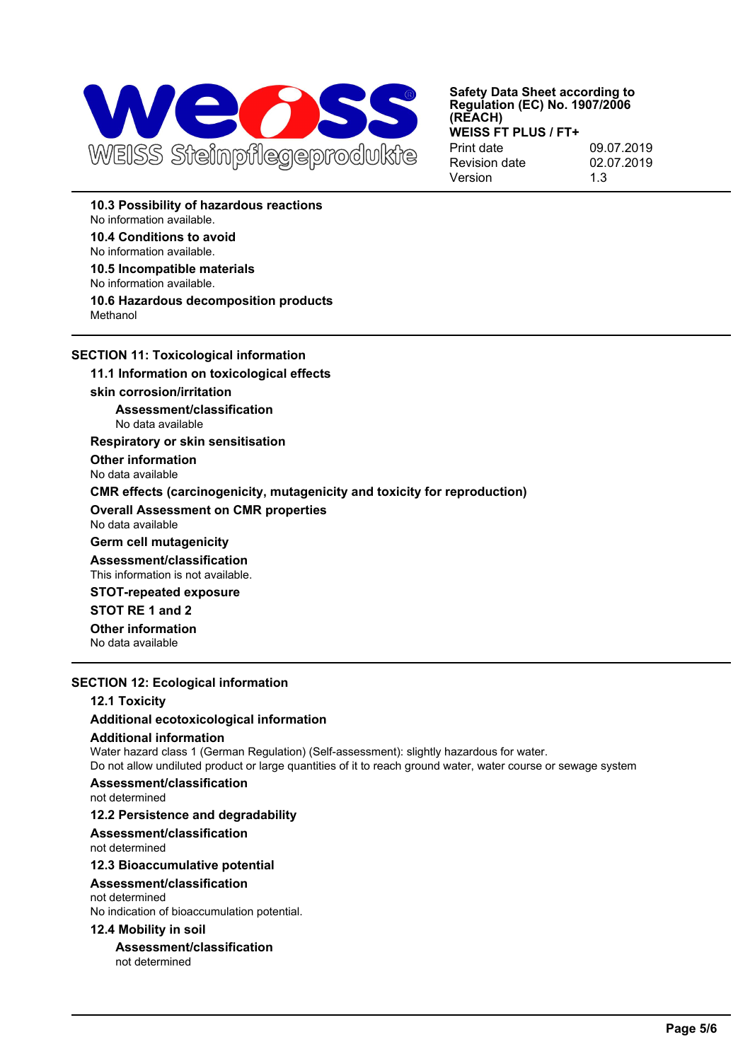

**10.3 Possibility of hazardous reactions** No information available.

**10.4 Conditions to avoid**

No information available.

**10.5 Incompatible materials** No information available.

# **10.6 Hazardous decomposition products**

Methanol

**SECTION 11: Toxicological information**

**11.1 Information on toxicological effects**

## **skin corrosion/irritation**

**Assessment/classification** No data available

**Respiratory or skin sensitisation**

**Other information** No data available

**CMR effects (carcinogenicity, mutagenicity and toxicity for reproduction)**

## **Overall Assessment on CMR properties**

No data available

**Germ cell mutagenicity**

**Assessment/classification** This information is not available.

**STOT-repeated exposure**

**STOT RE 1 and 2**

**Other information** No data available

# **SECTION 12: Ecological information**

## **12.1 Toxicity**

## **Additional ecotoxicological information**

## **Additional information**

Water hazard class 1 (German Regulation) (Self-assessment): slightly hazardous for water.

Do not allow undiluted product or large quantities of it to reach ground water, water course or sewage system

# **Assessment/classification**

not determined

# **12.2 Persistence and degradability**

**Assessment/classification**

not determined

## **12.3 Bioaccumulative potential**

**Assessment/classification**

## not determined

No indication of bioaccumulation potential.

## **12.4 Mobility in soil**

**Assessment/classification** not determined